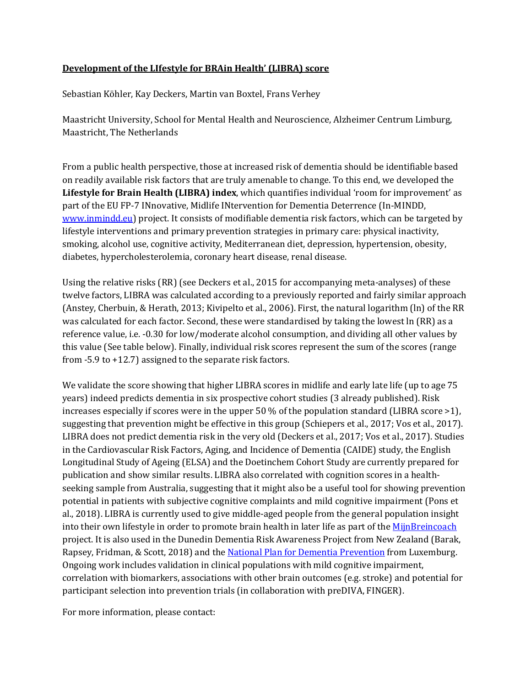## **Development of the LIfestyle for BRAin Health' (LIBRA) score**

Sebastian Köhler, Kay Deckers, Martin van Boxtel, Frans Verhey

Maastricht University, School for Mental Health and Neuroscience, Alzheimer Centrum Limburg, Maastricht, The Netherlands

From a public health perspective, those at increased risk of dementia should be identifiable based on readily available risk factors that are truly amenable to change. To this end, we developed the **Lifestyle for Brain Health (LIBRA) index**, which quantifies individual 'room for improvement' as part of the EU FP-7 INnovative, Midlife INtervention for Dementia Deterrence (In-MINDD, www.inmindd.eu) project. It consists of modifiable dementia risk factors, which can be targeted by lifestyle interventions and primary prevention strategies in primary care: physical inactivity, smoking, alcohol use, cognitive activity, Mediterranean diet, depression, hypertension, obesity, diabetes, hypercholesterolemia, coronary heart disease, renal disease.

Using the relative risks  $(RR)$  (see Deckers et al., 2015 for accompanying meta-analyses) of these twelve factors, LIBRA was calculated according to a previously reported and fairly similar approach (Anstey, Cherbuin, & Herath, 2013; Kivipelto et al., 2006). First, the natural logarithm (ln) of the RR was calculated for each factor. Second, these were standardised by taking the lowest ln (RR) as a reference value, i.e. -0.30 for low/moderate alcohol consumption, and dividing all other values by this value (See table below). Finally, individual risk scores represent the sum of the scores (range from  $-5.9$  to  $+12.7$ ) assigned to the separate risk factors.

We validate the score showing that higher LIBRA scores in midlife and early late life (up to age 75 years) indeed predicts dementia in six prospective cohort studies (3 already published). Risk increases especially if scores were in the upper 50 % of the population standard (LIBRA score  $>1$ ), suggesting that prevention might be effective in this group (Schiepers et al., 2017; Vos et al., 2017). LIBRA does not predict dementia risk in the very old (Deckers et al., 2017; Vos et al., 2017). Studies in the Cardiovascular Risk Factors, Aging, and Incidence of Dementia (CAIDE) study, the English Longitudinal Study of Ageing (ELSA) and the Doetinchem Cohort Study are currently prepared for publication and show similar results. LIBRA also correlated with cognition scores in a healthseeking sample from Australia, suggesting that it might also be a useful tool for showing prevention potential in patients with subjective cognitive complaints and mild cognitive impairment (Pons et al., 2018). LIBRA is currently used to give middle-aged people from the general population insight into their own lifestyle in order to promote brain health in later life as part of the MijnBreincoach project. It is also used in the Dunedin Dementia Risk Awareness Project from New Zealand (Barak, Rapsey, Fridman, & Scott, 2018) and the National Plan for Dementia Prevention from Luxemburg. Ongoing work includes validation in clinical populations with mild cognitive impairment, correlation with biomarkers, associations with other brain outcomes (e.g. stroke) and potential for participant selection into prevention trials (in collaboration with preDIVA, FINGER).

For more information, please contact: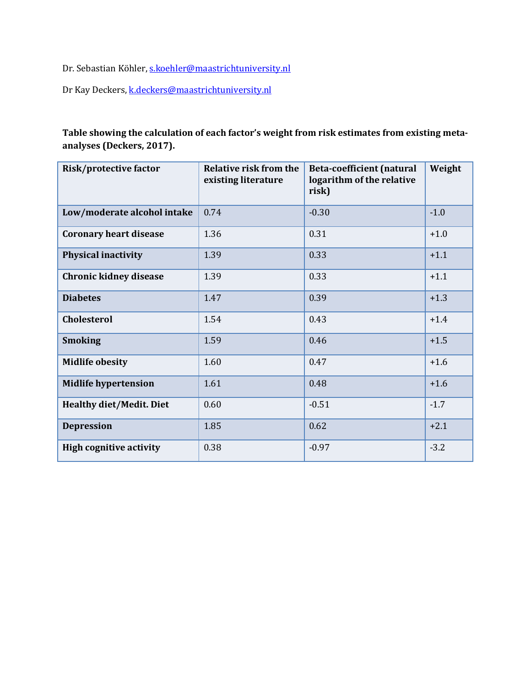Dr. Sebastian Köhler, s.koehler@maastrichtuniversity.nl

Dr Kay Deckers, k.deckers@maastrichtuniversity.nl

Table showing the calculation of each factor's weight from risk estimates from existing meta**analyses (Deckers, 2017).**

| Risk/protective factor          | Relative risk from the<br>existing literature | <b>Beta-coefficient (natural</b><br>logarithm of the relative<br>risk) | Weight |
|---------------------------------|-----------------------------------------------|------------------------------------------------------------------------|--------|
| Low/moderate alcohol intake     | 0.74                                          | $-0.30$                                                                | $-1.0$ |
| <b>Coronary heart disease</b>   | 1.36                                          | 0.31                                                                   | $+1.0$ |
| <b>Physical inactivity</b>      | 1.39                                          | 0.33                                                                   | $+1.1$ |
| Chronic kidney disease          | 1.39                                          | 0.33                                                                   | $+1.1$ |
| <b>Diabetes</b>                 | 1.47                                          | 0.39                                                                   | $+1.3$ |
| <b>Cholesterol</b>              | 1.54                                          | 0.43                                                                   | $+1.4$ |
| <b>Smoking</b>                  | 1.59                                          | 0.46                                                                   | $+1.5$ |
| <b>Midlife obesity</b>          | 1.60                                          | 0.47                                                                   | $+1.6$ |
| <b>Midlife hypertension</b>     | 1.61                                          | 0.48                                                                   | $+1.6$ |
| <b>Healthy diet/Medit. Diet</b> | 0.60                                          | $-0.51$                                                                | $-1.7$ |
| <b>Depression</b>               | 1.85                                          | 0.62                                                                   | $+2.1$ |
| <b>High cognitive activity</b>  | 0.38                                          | $-0.97$                                                                | $-3.2$ |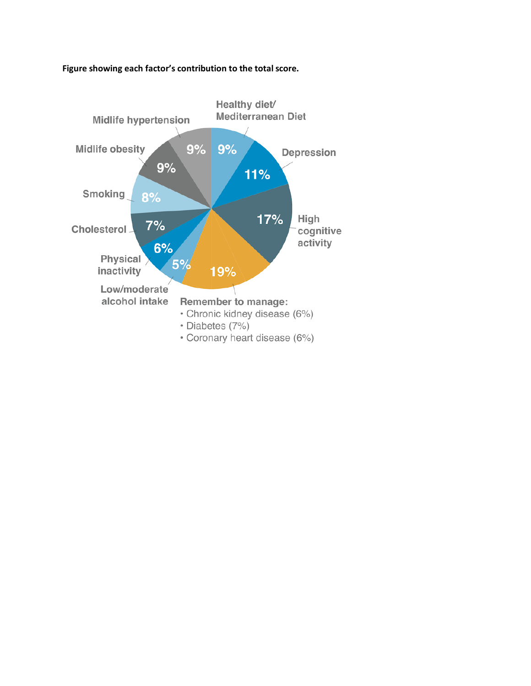## **Figure showing each factor's contribution to the total score.**

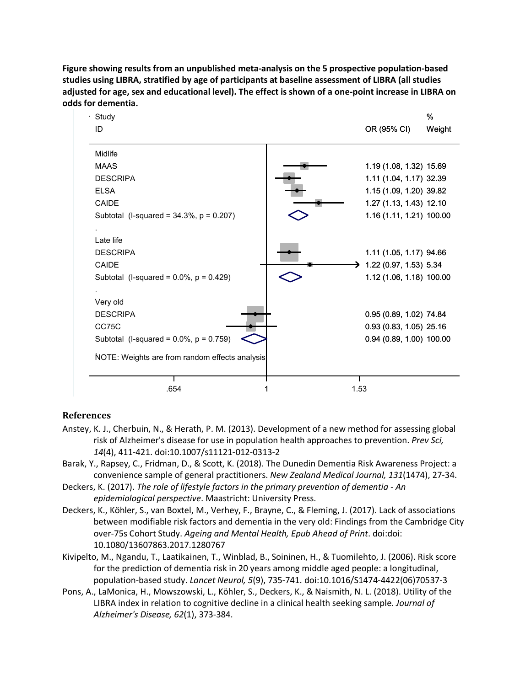**Figure showing results from an unpublished meta-analysis on the 5 prospective population-based studies using LIBRA, stratified by age of participants at baseline assessment of LIBRA (all studies (adjusted for age, sex and educational level) adjusted for age, sex and educational level). The effect is shown of a one-point increase in LIBRA on odds for dementia.**



## **References**  $A$ breviations: Maastricht Ageing Study; Descriptions: Descriptions: Descriptions:  $B$

- Anstey, K. J., Cherbuin, N., & Herath, P. M. (2013). Development of a new method for assessing global risk of Alzheimer's disease for use in population health approaches to prevention. Prev Sci, *14*(4), 411-421. doi:10.1007/s11121-012-0313-2
- Barak, Y., Rapsey, C., Fridman, D., & Scott, K. (2018). The Dunedin Dementia Risk Awareness Project: a convenience sample of general practitioners. *New Zealand Medical Journal, 131*(1474), 27-34. *New candidate risk factors*
- Deckers, K. (2017). *The role of lifestyle factors in the primary prevention of dementia An epidemiological perspective*. Maastricht: University Press.
- Deckers, K., Köhler, S., van Boxtel, M., Verhey, F., Brayne, C., & Fleming, J. (2017). Lack of associations between modifiable risk factors and dementia in the very old: Findings from the Cambridge City<br>supports Cabart Study of asian and Martel Harlth, Fault Aband of Brist, daide is over-75s Cohort Study. *Ageing and Mental Health, Epub Ahead of Print*. doi:doi: 10.1080/13607863.2017.1280767
- Kivipelto, M., Ngandu, T., Laatikainen, T., Winblad, B., Soininen, H., & Tuomilehto, J. (2006). Risk score for the prediction of dementia risk in 20 years among middle aged people: a longitudinal, population-based study. *Lancet Neurol, 5*(9), 735-741. doi:10.1016/S1474-4422(06)70537-3<br>https://www.ata.com/studies looking at shared biological pathways are needed.
- Pons, A., LaMonica, H., Mowszowski, L., Köhler, S., Deckers, K., & Naismith, N. L. (2018). Utility of the LIBRA index in relation to cognitive decline in a clinical health seeking sample. *Journal of Alzheimer's Disease, 62*(1), 373-384.